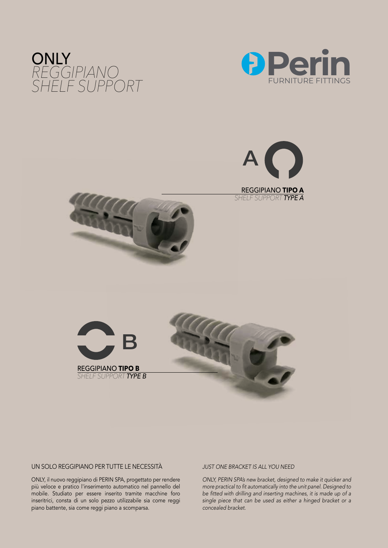









#### UN SOLO REGGIPIANO PER TUTTE LE NECESSITÀ *JUST ONE BRACKET IS ALL YOU NEED*

ONLY, il nuovo reggipiano di PERIN SPA, progettato per rendere più veloce e pratico l'inserimento automatico nel pannello del mobile. Studiato per essere inserito tramite macchine foro inseritrici, consta di un solo pezzo utilizzabile sia come reggi piano battente, sia come reggi piano a scomparsa.

*ONLY, PERIN SPA's new bracket, designed to make it quicker and more practical to fit automatically into the unit panel. Designed to be fitted with drilling and inserting machines, it is made up of a single piece that can be used as either a hinged bracket or a concealed bracket.*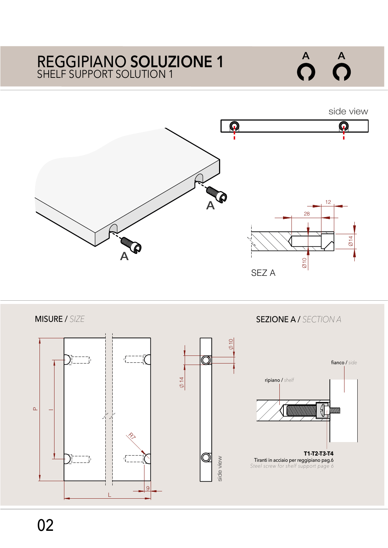# SHELF SUPPORT SOLUTION 1 REGGIPIANO **SOLUZIONE 1**



side view



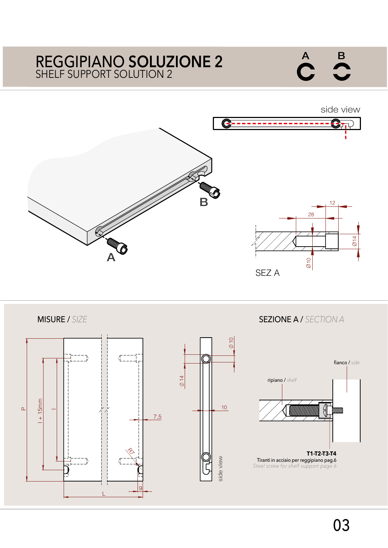## SHELF SUPPORT SOLUTION 2 REGGIPIANO **SOLUZIONE 2**





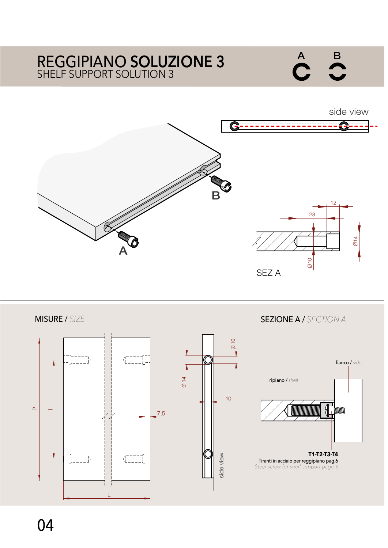## SHELF SUPPORT SOLUTION 3 REGGIPIANO **SOLUZIONE 3**

side view G B 12 28 Ø14 A Ø10 SEZ A

MISURE / *SIZE*SEZIONE A / *SECTION A* 10 ۱.<br>ا fianco / *side*  $\varphi$ 14 ripiano / *shelf* 10  $\overline{\phantom{0}}$  $\mathbf{r}$ 7,5 **T1-T2-T3-T4** side view side view Tiranti in acciaio per reggipiano pag.6 *Steel screw for shelf support page 6* L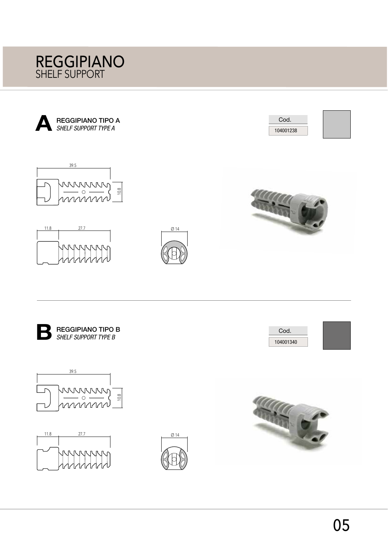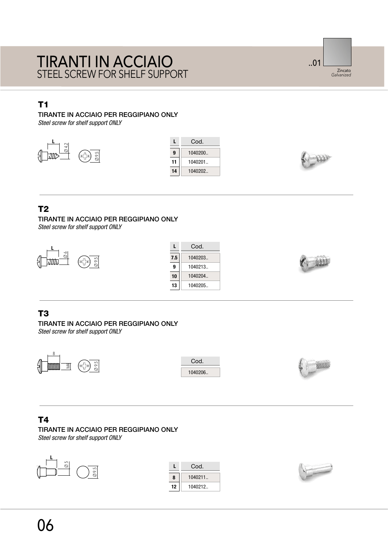## STEEL SCREW FOR SHELF SUPPORT TIRANTI IN ACCIAIO

..01 Zincato *Galvanized*

## T1  $\blacksquare$

TIRANTE IN ACCIAIO PER REGGIPIANO ONLY

*Steel screw for shelf support ONLY*







## T2

TIRANTE IN ACCIAIO PER REGGIPIANO ONLY *Steel screw for shelf support ONLY*



|     | Cod.     |
|-----|----------|
| 7.5 | 1040203. |
| 9   | 1040213. |
| 10  | 1040204. |
| 13  | 1040205. |



#### T3

TIRANTE IN ACCIAIO PER REGGIPIANO ONLY *Steel screw for shelf support ONLY*



## T4

TIRANTE IN ACCIAIO PER REGGIPIANO ONLY *Steel screw for shelf support ONLY*



|    | Cod.     |
|----|----------|
| R  | 1040211. |
| 12 | 1040212. |

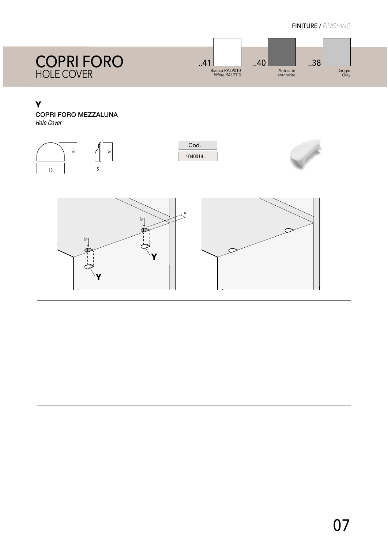

#### The Second Second Second Second Second Second Second Second Second Second Second Second Second Second Second

## COPRI FORO MEZZALUNA

*Hole Cover*